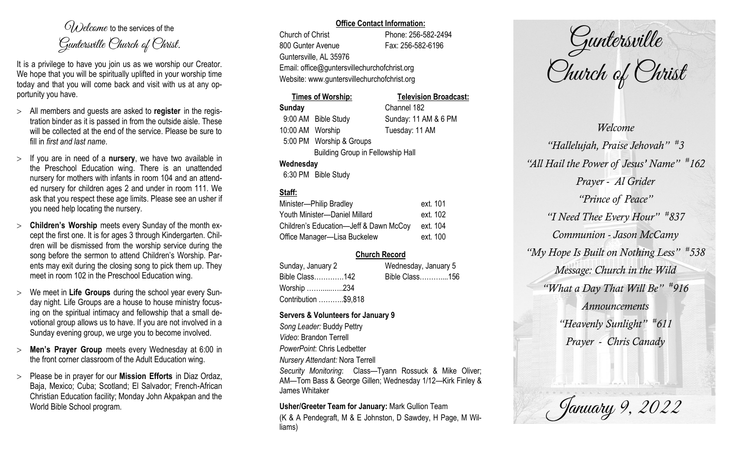$O(\lambda)$  elcame to the services of the Guntersville Church of Christ.

It is a privilege to have you join us as we worship our Creator. We hope that you will be spiritually uplifted in your worship time today and that you will come back and visit with us at any opportunity you have.

- All members and guests are asked to **register** in the registration binder as it is passed in from the outside aisle. These will be collected at the end of the service. Please be sure to fill in *first and last name*.
- $>$  If you are in need of a **nursery**, we have two available in the Preschool Education wing. There is an unattended nursery for mothers with infants in room 104 and an attended nursery for children ages 2 and under in room 111. We ask that you respect these age limits. Please see an usher if you need help locating the nursery.
- **Children's Worship** meets every Sunday of the month except the first one. It is for ages 3 through Kindergarten. Children will be dismissed from the worship service during the song before the sermon to attend Children's Worship. Parents may exit during the closing song to pick them up. They meet in room 102 in the Preschool Education wing.
- We meet in **Life Groups** during the school year every Sunday night. Life Groups are a house to house ministry focusing on the spiritual intimacy and fellowship that a small devotional group allows us to have. If you are not involved in a Sunday evening group, we urge you to become involved.
- **Men's Prayer Group** meets every Wednesday at 6:00 in the front corner classroom of the Adult Education wing.
- Please be in prayer for our **Mission Efforts** in Diaz Ordaz, Baja, Mexico; Cuba; Scotland; El Salvador; French-African Christian Education facility; Monday John Akpakpan and the World Bible School program.

#### **Office Contact Information:**

Church of Christ Phone: 256-582-2494 800 Gunter Avenue Fax: 256-582-6196 Guntersville, AL 35976 Email: office@guntersvillechurchofchrist.org Website: www.guntersvillechurchofchrist.org

### **Times of Worship: Television Broadcast: Sunday** Channel 182 9:00 AM Bible Study Sunday: 11 AM & 6 PM 10:00 AM Worship Tuesday: 11 AM 5:00 PM Worship & Groups Building Group in Fellowship Hall **Wednesday**

6:30 PM Bible Study

# **Staff:**

| Minister-Philip Bradley                | ext. 101 |
|----------------------------------------|----------|
| Youth Minister-Daniel Millard          | ext. 102 |
| Children's Education-Jeff & Dawn McCoy | ext. 104 |
| Office Manager-Lisa Buckelew           | ext. 100 |

## **Church Record**

| Sunday, January 2<br>Wednesday, January 5 |  |                |  |
|-------------------------------------------|--|----------------|--|
| Bible Class142                            |  | Bible Class156 |  |
| Worship 234                               |  |                |  |
| Contribution \$9,818                      |  |                |  |

### **Servers & Volunteers for January 9**

*Song Leader:* Buddy Pettry *Video*: Brandon Terrell *PowerPoint*: Chris Ledbetter *Nursery Attendant:* Nora Terrell *Security Monitoring*: Class—Tyann Rossuck & Mike Oliver; AM—Tom Bass & George Gillen; Wednesday 1/12—Kirk Finley & James Whitaker

**Usher/Greeter Team for January:** Mark Gullion Team (K & A Pendegraft, M & E Johnston, D Sawdey, H Page, M Williams)

Guntersville Church of Christ

*Welcome "Hallelujah, Praise Jehovah" # 3 "All Hail the Power of Jesus' Name" # 162 Prayer - Al Grider "Prince of Peace" "I Need Thee Every Hour" # 837 Communion - Jason McCamy "My Hope Is Built on Nothing Less" # 538 Message: Church in the Wild "What a Day That Will Be" # 916 Announcements "Heavenly Sunlight" # 611 Prayer - Chris Canady*

January 9, 2022